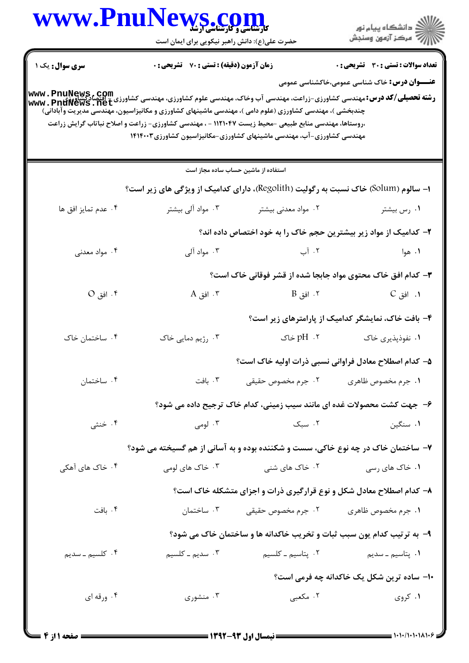|                        | MS.COM<br>حضرت علی(ع): دانش راهبر نیکویی برای ایمان است |                                                                                                                                                                                                                                                                                        | ≦ دانشڪاه پيام نور<br>ر∕ = مرڪز آزمون وسنڊش                                                                                                                                                         |
|------------------------|---------------------------------------------------------|----------------------------------------------------------------------------------------------------------------------------------------------------------------------------------------------------------------------------------------------------------------------------------------|-----------------------------------------------------------------------------------------------------------------------------------------------------------------------------------------------------|
| <b>سری سوال :</b> یک ۱ | <b>زمان آزمون (دقیقه) : تستی : 70 قشریحی : 0</b>        |                                                                                                                                                                                                                                                                                        | <b>تعداد سوالات : تستی : 30 ٪ تشریحی : 0</b>                                                                                                                                                        |
|                        |                                                         | چندبخشی )، مهندسی کشاورزی (علوم دامی )، مهندسی ماشینهای کشاورزی و مکانیزاسیون، مهندسی مدیریت وآبادانی)<br>،روستاها، مهندسی منابع طبیعی -محیط زیست ۱۱۲۱۰۴۷ - ، مهندسی کشاورزی- زراعت و اصلاح نباتاب گرایش زراعت<br>مهندسی کشاورزی-آب، مهندسی ماشینهای کشاورزی-مکانیزاسیون کشاورزی۲۴۰۲۱۴ | <b>عنـــوان درس:</b> خاک شناسی عمومی،خاکشناسی عمومی<br><b>رشته تحصیلی/کد درس: مهندسی کشاورزی-زراعت، مهندسی آب وخاک، مهندسی علوم کشاورزی، مهندسی کشاورزی - اقتصادگشاورزی<br/>Www . PnuNews . net</b> |
|                        |                                                         | استفاده از ماشین حساب ساده مجاز است                                                                                                                                                                                                                                                    |                                                                                                                                                                                                     |
|                        |                                                         | <b>ا- سالوم (Solum) خاک نسبت به رگولیت (Regolith)، دارای کدامیک از ویژگی های زیر است؟</b>                                                                                                                                                                                              |                                                                                                                                                                                                     |
| ۰۴ عدم تمايز افق ها    | ۰۳ مواد آلی بیشتر                                       | ۰۲ مواد معدنی بیشتر                                                                                                                                                                                                                                                                    | ۰۱ رس بیشتر                                                                                                                                                                                         |
|                        |                                                         | ۲– کدامیک از مواد زیر بیشترین حجم خاک را به خود اختصاص داده اند؟                                                                                                                                                                                                                       |                                                                                                                                                                                                     |
| ۰۴ مواد معدنی          | ۰۳ مواد آلی                                             | ۰۲ آب                                                                                                                                                                                                                                                                                  | ۰۱ هوا                                                                                                                                                                                              |
|                        |                                                         |                                                                                                                                                                                                                                                                                        | ۳- کدام افق خاک محتوی مواد جابجا شده از قشر فوقانی خاک است؟                                                                                                                                         |
| ۰۴ افق O               | ۰۳ افق A                                                | ۰۲ افق B                                                                                                                                                                                                                                                                               | ۰۱ افق C                                                                                                                                                                                            |
|                        |                                                         |                                                                                                                                                                                                                                                                                        | ۴- بافت خاک، نمایشگر کدامیک از پارامترهای زیر است؟                                                                                                                                                  |
| ۰۴ ساختمان خاک         | ۰۳ رژیم دمایی خاک                                       | pH .۲ خاک                                                                                                                                                                                                                                                                              | ۰۱ نفوذپذیری خاک                                                                                                                                                                                    |
|                        |                                                         |                                                                                                                                                                                                                                                                                        | ۵– کدام اصطلاح معادل فراوانی نسبی ذرات اولیه خاک است؟                                                                                                                                               |
| ۰۴ ساختمان             | ۰۳ بافت                                                 | ۰۲ جرم مخصوص حقيقى                                                                                                                                                                                                                                                                     | ٠١ جرم مخصوص ظاهري                                                                                                                                                                                  |
|                        |                                                         |                                                                                                                                                                                                                                                                                        | ۶- جهت کشت محصولات غده ای مانند سیب زمینی، کدام خاک ترجیح داده می شود؟                                                                                                                              |
| ۰۴ خنثی                | ۰۳ لومی $\cdot$                                         | ۰۲ سبک                                                                                                                                                                                                                                                                                 | ۰۱ سنگین                                                                                                                                                                                            |
|                        |                                                         |                                                                                                                                                                                                                                                                                        | ۷- ساختمان خاک در چه نوع خاکی، سست و شکننده بوده و به آسانی از هم گسیخته می شود؟                                                                                                                    |
| ۰۴ خاک های آهکی        | ۰۳ خاک های لومی                                         | ۰۲ خاک های شنی                                                                                                                                                                                                                                                                         | ۰۱ خاک های رسی                                                                                                                                                                                      |
|                        |                                                         |                                                                                                                                                                                                                                                                                        | ۸- کدام اصطلاح معادل شکل و نوع قرارگیری ذرات و اجزای متشکله خاک است؟                                                                                                                                |
| ۰۴ بافت                | ۰۳ ساختمان                                              | ۰۲ جرم مخصوص حقیقی                                                                                                                                                                                                                                                                     | ٠١. جرم مخصوص ظاهري                                                                                                                                                                                 |
|                        |                                                         | ۹- به ترتیب کدام یون سبب ثبات و تخریب خاکدانه ها و ساختمان خاک می شود؟                                                                                                                                                                                                                 |                                                                                                                                                                                                     |
| ۰۴ کلسیم ـ سدیم        | ۰۳ سدیم ــ کلسیم                                        | ٢. پتاسيم ــ كلسيم                                                                                                                                                                                                                                                                     | <b>۱.</b> پتاسیم ــ سدیم                                                                                                                                                                            |
|                        |                                                         |                                                                                                                                                                                                                                                                                        | ۱۰– ساده ترین شکل یک خاکدانه چه فرمی است؟                                                                                                                                                           |
|                        |                                                         |                                                                                                                                                                                                                                                                                        |                                                                                                                                                                                                     |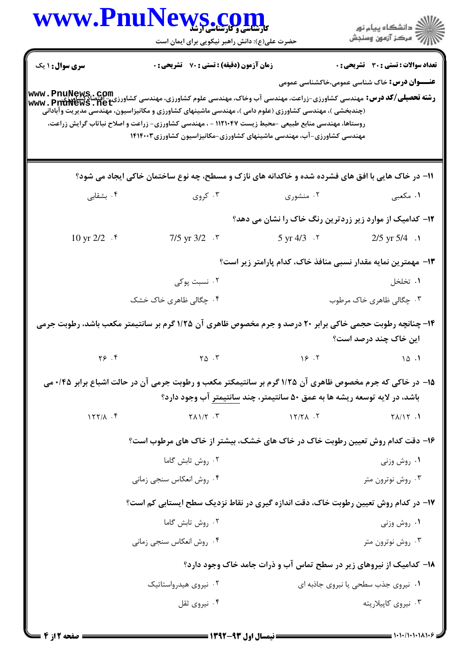|                     | www.PnuNews.com                                                                                                                                                                                                                                                                                                                                                                                                                       |                                                                            | الاران دانشگاه پيام نور<br>الاران مرکز آزمون وسنجش  |
|---------------------|---------------------------------------------------------------------------------------------------------------------------------------------------------------------------------------------------------------------------------------------------------------------------------------------------------------------------------------------------------------------------------------------------------------------------------------|----------------------------------------------------------------------------|-----------------------------------------------------|
|                     | حضرت علی(ع): دانش راهبر نیکویی برای ایمان است                                                                                                                                                                                                                                                                                                                                                                                         |                                                                            |                                                     |
| سری سوال : ۱ یک     | <b>زمان آزمون (دقیقه) : تستی : 70 قشریحی : 0</b>                                                                                                                                                                                                                                                                                                                                                                                      |                                                                            | <b>تعداد سوالات : تستی : 30 ٪ تشریحی : 0</b>        |
|                     | <b>رشته تحصیلی/کد درس:</b> مهندسی کشاورزی-زراعت، مهندسی آب وخاک، مهندسی علوم کشاورزی، مهندسی کشاورزی - اقتصادگشاورزی<br>WWW . PnuNews . net<br>(چندبخشی )، مهندسی کشاورزی (علوم دامی )، مهندسی ماشینهای کشاورزی و مکانیزاسیون، مهندسی مدیریت وآبادانی<br>روستاها، مهندسی منابع طبیعی -محیط زیست ۱۱۲۱۰۴۷ - ، مهندسی کشاورزی- زراعت و اصلاح نباتاب گرایش زراعت،<br>مهندسی کشاورزی-آب، مهندسی ماشینهای کشاورزی-مکانیزاسیون کشاورزی۲۴۰۰۳۱ |                                                                            | <b>عنـــوان درس:</b> خاک شناسی عمومی،خاکشناسی عمومی |
|                     | 11- در خاک هایی با افق های فشرده شده و خاکدانه های نازک و مسطح، چه نوع ساختمان خاکی ایجاد می شود؟                                                                                                                                                                                                                                                                                                                                     |                                                                            |                                                     |
| ۰۴ بشقابی           | ۰۳ کروی                                                                                                                                                                                                                                                                                                                                                                                                                               | ۰۲ منشوری                                                                  | ۱. مکعبی                                            |
|                     |                                                                                                                                                                                                                                                                                                                                                                                                                                       | <b>۱۲</b> - کدامیک از موارد زیر زردترین رنگ خاک را نشان می دهد؟            |                                                     |
| 10 yr 2/2 . *       | $7/5$ yr $3/2$ $\cdot$ $\cdot$                                                                                                                                                                                                                                                                                                                                                                                                        | $5 \text{ yr } 4/3$ . $\text{v}$                                           | 2/5 yr $5/4$ .                                      |
|                     |                                                                                                                                                                                                                                                                                                                                                                                                                                       | ۱۳– مهمترین نمایه مقدار نسبی منافذ خاک، کدام پارامتر زیر است؟              |                                                     |
|                     | ۰۲ نسبت پوکی                                                                                                                                                                                                                                                                                                                                                                                                                          |                                                                            | ۰۱ تخلخل                                            |
|                     | ۰۴ چگالی ظاهری خاک خشک                                                                                                                                                                                                                                                                                                                                                                                                                |                                                                            | ۰۳ چگالی ظاهری خاک مرطوب                            |
|                     | ۱۴– چنانچه رطوبت حجمی خاکی برابر ۲۰ درصد و جرم مخصوص ظاهری آن ۱/۲۵ گرم بر سانتیمتر مکعب باشد، رطوبت جرمی                                                                                                                                                                                                                                                                                                                              |                                                                            | این خاک چند درصد است؟                               |
| $Y$ ۶.۴             | $\gamma_{\Delta}$ . $\eta$                                                                                                                                                                                                                                                                                                                                                                                                            |                                                                            |                                                     |
|                     | ۱۵- در خاکی که جرم مخصوص ظاهری آن ۱/۲۵ گرم بر سانتیمکتر مکعب و رطوبت جرمی آن در حالت اشباع برابر ۰/۴۵ می                                                                                                                                                                                                                                                                                                                              |                                                                            |                                                     |
|                     |                                                                                                                                                                                                                                                                                                                                                                                                                                       | باشد، در لایه توسعه ریشه ها به عمق ۵۰ سانتیمتر، چند سانتیمتر آب وجود دارد؟ |                                                     |
| $177/\lambda$ . $f$ | $Y \wedge 1/Y$ . $Y$                                                                                                                                                                                                                                                                                                                                                                                                                  | $17/7$ $\Lambda$ .                                                         | $Y\Lambda/Y$ .                                      |
|                     | ۱۶- دقت کدام روش تعیین رطوبت خاک در خاک های خشک، بیشتر از خاک های مرطوب است؟                                                                                                                                                                                                                                                                                                                                                          |                                                                            |                                                     |
|                     | ۰۲ روش تابش گاما                                                                                                                                                                                                                                                                                                                                                                                                                      |                                                                            | ۰۱ روش وزنی                                         |
|                     | ۰۴ روش انعکاس سنجي زماني                                                                                                                                                                                                                                                                                                                                                                                                              |                                                                            | ۰۳ روش نوترون متر                                   |
|                     | ۱۷- در کدام روش تعیین رطوبت خاک، دقت اندازه گیری در نقاط نزدیک سطح ایستابی کم است؟                                                                                                                                                                                                                                                                                                                                                    |                                                                            |                                                     |
|                     | ۰۲ روش تابش گاما                                                                                                                                                                                                                                                                                                                                                                                                                      |                                                                            | ۰۱ روش وزنی                                         |
|                     | ۰۴ روش انعکاس سنجی زمانی                                                                                                                                                                                                                                                                                                                                                                                                              |                                                                            | ۰۳ روش نوترون متر                                   |
|                     |                                                                                                                                                                                                                                                                                                                                                                                                                                       | ۱۸- کدامیک از نیروهای زیر در سطح تماس آب و ذرات جامد خاک وجود دارد؟        |                                                     |
|                     | ۰۲ نیروی هیدرواستاتیک                                                                                                                                                                                                                                                                                                                                                                                                                 |                                                                            | ۰۱ نیروی جذب سطحی یا نیروی جاذبه ای                 |
|                     | ۰۴ نیروی ثقل                                                                                                                                                                                                                                                                                                                                                                                                                          |                                                                            | ۰۳ نیروی کاپیلاریته                                 |
|                     |                                                                                                                                                                                                                                                                                                                                                                                                                                       |                                                                            |                                                     |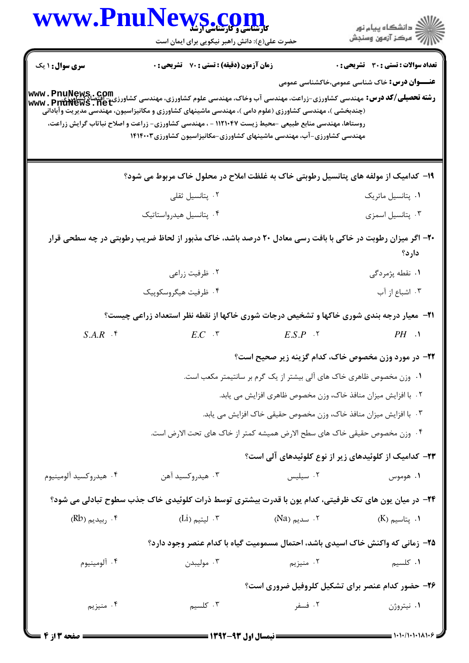|                              | www.PnuNews.com                                                                                                                                                                                                                                                                                                                                                |                                                                           | ر<br>دانشڪاه پيام نور)<br>اڳ مرڪز آزمون وسنڊش       |  |
|------------------------------|----------------------------------------------------------------------------------------------------------------------------------------------------------------------------------------------------------------------------------------------------------------------------------------------------------------------------------------------------------------|---------------------------------------------------------------------------|-----------------------------------------------------|--|
|                              | حضرت علی(ع): دانش راهبر نیکویی برای ایمان است                                                                                                                                                                                                                                                                                                                  |                                                                           |                                                     |  |
| <b>سری سوال : ۱ یک</b>       | زمان آزمون (دقیقه) : تستی : 70 گشریحی : 0                                                                                                                                                                                                                                                                                                                      |                                                                           | <b>تعداد سوالات : تستی : 30 ٪ تشریحی : 0</b>        |  |
|                              | <b>رشته تحصیلی/کد درس: مهندسی کشاورزی-زراعت، مهندسی آب وخاک، مهندسی علوم کشاورزی، مهندسی کشاورزی - اقتصادگشاورزی<br/>Www . PnuNews . net</b><br>(چندبخشی )، مهندسی کشاورزی (علوم دامی )، مهندسی ماشینهای کشاورزی و مکانیزاسیون، مهندسی مدیریت وآبادانی<br>روستاها، مهندسی منابع طبیعی -محیط زیست ۱۱۲۱۰۴۷ - ، مهندسی کشاورزی- زراعت و اصلاح نباتاب گرایش زراعت، |                                                                           | <b>عنـــوان درس:</b> خاک شناسی عمومی،خاکشناسی عمومی |  |
|                              | مهندسی کشاورزی-آب، مهندسی ماشینهای کشاورزی-مکانیزاسیون کشاورزی۲۴۰۲۱۴                                                                                                                                                                                                                                                                                           |                                                                           |                                                     |  |
|                              | ۱۹- کدامیک از مولفه های پتانسیل رطوبتی خاک به غلظت املاح در محلول خاک مربوط می شود؟                                                                                                                                                                                                                                                                            |                                                                           |                                                     |  |
|                              | ۰۲ پتانسیل ثقلی                                                                                                                                                                                                                                                                                                                                                |                                                                           | ٠١. پتانسيل ماتريک                                  |  |
|                              | ۰۴ پتانسیل هیدرواستاتیک                                                                                                                                                                                                                                                                                                                                        |                                                                           | ۰۳ پتانسیل اسمزی                                    |  |
|                              | +۲- اگر میزان رطوبت در خاکی با بافت رسی معادل ۲۰ درصد باشد، خاک مذبور از لحاظ ضریب رطوبتی در چه سطحی قرار                                                                                                                                                                                                                                                      |                                                                           | دارد؟                                               |  |
|                              | ۰۲ ظرفیت زراعی                                                                                                                                                                                                                                                                                                                                                 |                                                                           | ۰۱ نقطه پژمردگی                                     |  |
|                              | ۰۴ ظرفیت هیگروسکوپیک                                                                                                                                                                                                                                                                                                                                           |                                                                           | ۰۳ اشباع از آب                                      |  |
|                              | <b>۲۱</b> - معیار درجه بندی شوری خاکها و تشخیص درجات شوری خاکها از نقطه نظر استعداد زراعی چیست؟                                                                                                                                                                                                                                                                |                                                                           |                                                     |  |
| $S.A.R$ $\cdot$ $\cdot$      |                                                                                                                                                                                                                                                                                                                                                                | $E.C \tF$ $E.S.P \tF$                                                     | $PH \rightarrow$                                    |  |
|                              |                                                                                                                                                                                                                                                                                                                                                                | <b>۲۲- در مورد وزن مخصوص خاک، کدام گزینه زیر صحیح است؟</b>                |                                                     |  |
|                              |                                                                                                                                                                                                                                                                                                                                                                | ۰۱ وزن مخصوص ظاهری خاک های آلی بیشتر از یک گرم بر سانتیمتر مکعب است.      |                                                     |  |
|                              |                                                                                                                                                                                                                                                                                                                                                                | ۰۲ با افزایش میزان منافذ خاک، وزن مخصوص ظاهری افزایش می یابد.             |                                                     |  |
|                              |                                                                                                                                                                                                                                                                                                                                                                | ۰۳ با افزایش میزان منافذ خاک، وزن مخصوص حقیقی خاک افزایش می یابد.         |                                                     |  |
|                              |                                                                                                                                                                                                                                                                                                                                                                | ۰۴ وزن مخصوص حقيقي خاک های سطح الارض هميشه کمتر از خاک های تحت الارض است. |                                                     |  |
|                              |                                                                                                                                                                                                                                                                                                                                                                | ۲۳– کدامیک از کلوئیدهای زیر از نوع کلوئیدهای آلی است؟                     |                                                     |  |
| ۰۴ هيدروكسيد آلومينيوم       | ۰۳ هيدروكسيد آهن                                                                                                                                                                                                                                                                                                                                               | ۰۲ سیلیس                                                                  | ۰۱ هوموس                                            |  |
|                              | ۲۴- در میان یون های تک ظرفیتی، کدام یون با قدرت بیشتری توسط ذرات کلوئیدی خاک جذب سطوح تبادلی می شود؟                                                                                                                                                                                                                                                           |                                                                           |                                                     |  |
| $(Bb)$ ربیدیم (Rb) $\cdot$ ۴ | ۰۳ لیتیم (Li)                                                                                                                                                                                                                                                                                                                                                  | ۲. سدیم (Na)                                                              | ۰۱ پتاسیم (K)                                       |  |
|                              | ۲۵- زمانی که واکنش خاک اسیدی باشد، احتمال مسمومیت گیاه با کدام عنصر وجود دارد؟                                                                                                                                                                                                                                                                                 |                                                                           |                                                     |  |
| ۰۴ آلومينيوم                 | ۰۳ مولیبدن                                                                                                                                                                                                                                                                                                                                                     | ۰۲ منیزیم                                                                 | ۰۱ کلسیم                                            |  |
|                              |                                                                                                                                                                                                                                                                                                                                                                | ۲۶- حضور کدام عنصر برای تشکیل کلروفیل ضروری است؟                          |                                                     |  |
|                              |                                                                                                                                                                                                                                                                                                                                                                |                                                                           |                                                     |  |